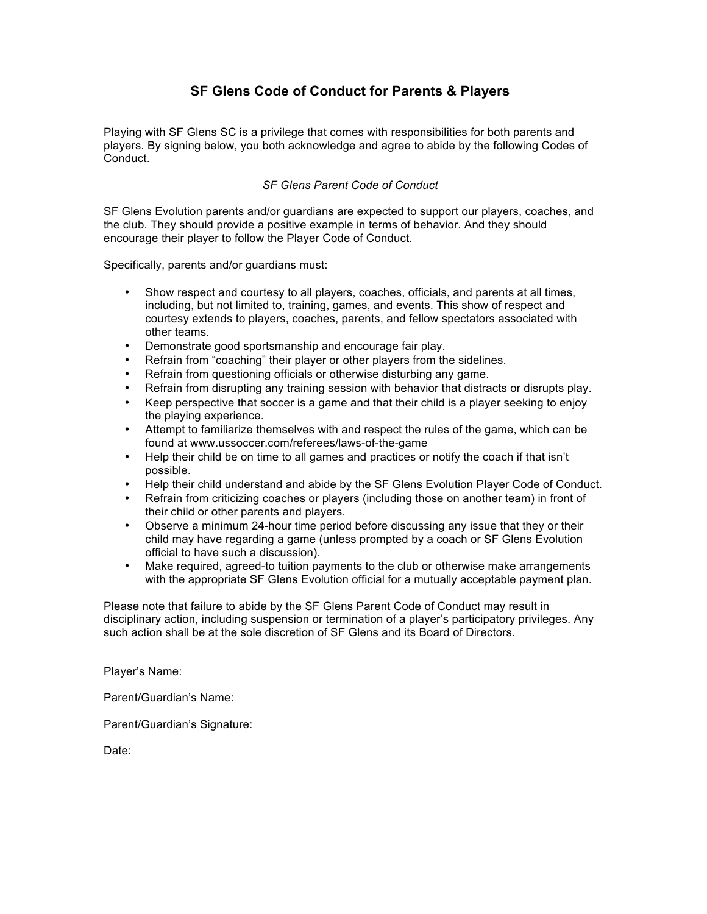# **SF Glens Code of Conduct for Parents & Players**

Playing with SF Glens SC is a privilege that comes with responsibilities for both parents and players. By signing below, you both acknowledge and agree to abide by the following Codes of Conduct.

## *SF Glens Parent Code of Conduct*

SF Glens Evolution parents and/or guardians are expected to support our players, coaches, and the club. They should provide a positive example in terms of behavior. And they should encourage their player to follow the Player Code of Conduct.

Specifically, parents and/or guardians must:

- Show respect and courtesy to all players, coaches, officials, and parents at all times, including, but not limited to, training, games, and events. This show of respect and courtesy extends to players, coaches, parents, and fellow spectators associated with other teams.
- Demonstrate good sportsmanship and encourage fair play.
- Refrain from "coaching" their player or other players from the sidelines.
- Refrain from questioning officials or otherwise disturbing any game.
- Refrain from disrupting any training session with behavior that distracts or disrupts play.
- Keep perspective that soccer is a game and that their child is a player seeking to enjoy the playing experience.
- Attempt to familiarize themselves with and respect the rules of the game, which can be found at www.ussoccer.com/referees/laws-of-the-game
- Help their child be on time to all games and practices or notify the coach if that isn't possible.
- Help their child understand and abide by the SF Glens Evolution Player Code of Conduct.
- Refrain from criticizing coaches or players (including those on another team) in front of their child or other parents and players.
- Observe a minimum 24-hour time period before discussing any issue that they or their child may have regarding a game (unless prompted by a coach or SF Glens Evolution official to have such a discussion).
- Make required, agreed-to tuition payments to the club or otherwise make arrangements with the appropriate SF Glens Evolution official for a mutually acceptable payment plan.

Please note that failure to abide by the SF Glens Parent Code of Conduct may result in disciplinary action, including suspension or termination of a player's participatory privileges. Any such action shall be at the sole discretion of SF Glens and its Board of Directors.

Player's Name:

Parent/Guardian's Name:

Parent/Guardian's Signature:

Date: